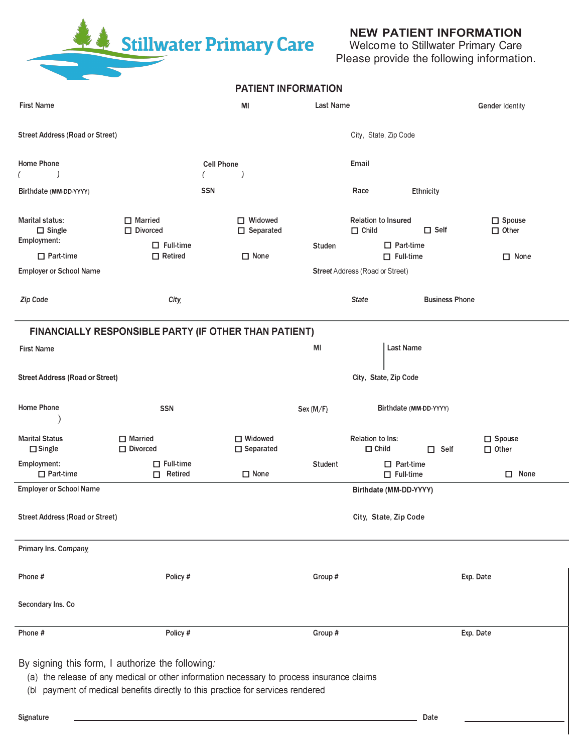Stillwater Primary Care

## **NEW PATIENT INFORMATION**

Welcome to Stillwater Primary Care Please provide the following information.

|                                                 |                                                                                                                                                                                                                                  | <b>PATIENT INFORMATION</b>    |                  |                                            |                                      |                                  |
|-------------------------------------------------|----------------------------------------------------------------------------------------------------------------------------------------------------------------------------------------------------------------------------------|-------------------------------|------------------|--------------------------------------------|--------------------------------------|----------------------------------|
| <b>First Name</b>                               |                                                                                                                                                                                                                                  | ΜI                            | <b>Last Name</b> |                                            |                                      | Gender Identity                  |
| <b>Street Address (Road or Street)</b>          |                                                                                                                                                                                                                                  |                               |                  | City, State, Zip Code                      |                                      |                                  |
| Home Phone                                      |                                                                                                                                                                                                                                  | <b>Cell Phone</b>             |                  | Email                                      |                                      |                                  |
| Birthdate (MM-DD-YYYY)                          | <b>SSN</b>                                                                                                                                                                                                                       |                               |                  | Race                                       | <b>Ethnicity</b>                     |                                  |
| Marital status:<br>$\Box$ Single<br>Employment: | $\Box$ Married<br>$\Box$ Divorced<br>$\Box$ Full-time                                                                                                                                                                            | □ Widowed<br>$\Box$ Separated | <b>Studen</b>    | <b>Relation to Insured</b><br>$\Box$ Child | $\Box$ Self<br>$\Box$ Part-time      | $\square$ Spouse<br>$\Box$ Other |
| $\Box$ Part-time                                | $\Box$ Retired                                                                                                                                                                                                                   | $\Box$ None                   |                  |                                            | $\Box$ Full-time                     | $\Box$ None                      |
| <b>Employer or School Name</b>                  |                                                                                                                                                                                                                                  |                               |                  | <b>Street Address (Road or Street)</b>     |                                      |                                  |
| Zip Code                                        | City,                                                                                                                                                                                                                            |                               |                  | <b>State</b>                               | <b>Business Phone</b>                |                                  |
|                                                 | FINANCIALLY RESPONSIBLE PARTY (IF OTHER THAN PATIENT)                                                                                                                                                                            |                               |                  |                                            |                                      |                                  |
| <b>First Name</b>                               |                                                                                                                                                                                                                                  |                               | MI               |                                            | <b>Last Name</b>                     |                                  |
| <b>Street Address (Road or Street)</b>          |                                                                                                                                                                                                                                  |                               |                  | City, State, Zip Code                      |                                      |                                  |
| Home Phone                                      | <b>SSN</b>                                                                                                                                                                                                                       |                               | Sex (M/F)        |                                            | Birthdate (MM-DD-YYYY)               |                                  |
| <b>Marital Status</b><br>$\Box$ Single          | $\Box$ Married<br>$\Box$ Divorced                                                                                                                                                                                                | □ Widowed<br>$\Box$ Separated |                  | Relation to Ins:<br>$\Box$ Child           | $\Box$ Self                          | $\square$ Spouse<br>$\Box$ Other |
| Employment:<br>$\Box$ Part-time                 | $\Box$ Full-time<br>$\Box$ Retired                                                                                                                                                                                               | $\Box$ None                   | <b>Student</b>   |                                            | $\Box$ Part-time<br>$\Box$ Full-time | $\Box$ None                      |
| <b>Employer or School Name</b>                  |                                                                                                                                                                                                                                  |                               |                  | Birthdate (MM-DD-YYYY)                     |                                      |                                  |
| <b>Street Address (Road or Street)</b>          |                                                                                                                                                                                                                                  |                               |                  | City, State, Zip Code                      |                                      |                                  |
| Primary Ins. Company                            |                                                                                                                                                                                                                                  |                               |                  |                                            |                                      |                                  |
| Phone#                                          | Policy #                                                                                                                                                                                                                         |                               | Group#           |                                            |                                      | Exp. Date                        |
| Secondary Ins. Co                               |                                                                                                                                                                                                                                  |                               |                  |                                            |                                      |                                  |
| Phone #                                         | Policy #                                                                                                                                                                                                                         |                               | Group #          |                                            |                                      | Exp. Date                        |
|                                                 | By signing this form, I authorize the following:<br>(a) the release of any medical or other information necessary to process insurance claims<br>(bl payment of medical benefits directly to this practice for services rendered |                               |                  |                                            |                                      |                                  |